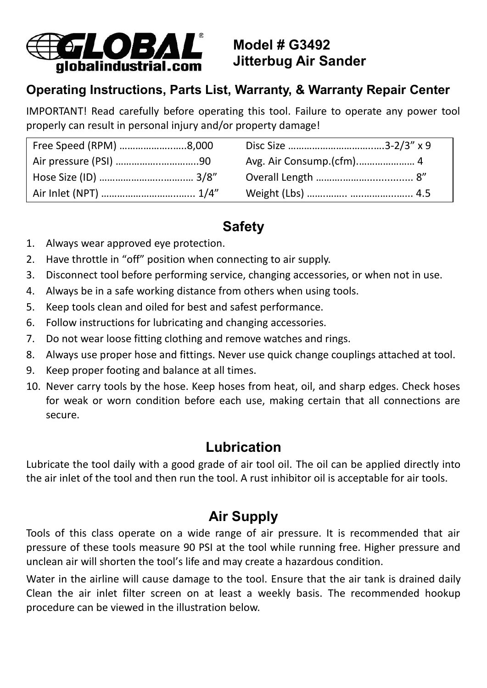

**Model # G3492 Jitterbug Air Sander**

#### **Operating Instructions, Parts List, Warranty, & Warranty Repair Center**

IMPORTANT! Read carefully before operating this tool. Failure to operate any power tool properly can result in personal injury and/or property damage!

| Free Speed (RPM) 8,000 |  |
|------------------------|--|
| Air pressure (PSI) 90  |  |
|                        |  |
|                        |  |

# **Safety**

- 1. Always wear approved eye protection.
- 2. Have throttle in "off" position when connecting to air supply.
- 3. Disconnect tool before performing service, changing accessories, or when not in use.
- 4. Always be in a safe working distance from others when using tools.
- 5. Keep tools clean and oiled for best and safest performance.
- 6. Follow instructions for lubricating and changing accessories.
- 7. Do not wear loose fitting clothing and remove watches and rings.
- 8. Always use proper hose and fittings. Never use quick change couplings attached at tool.
- 9. Keep proper footing and balance at all times.
- 10. Never carry tools by the hose. Keep hoses from heat, oil, and sharp edges. Check hoses for weak or worn condition before each use, making certain that all connections are secure.

## **Lubrication**

Lubricate the tool daily with a good grade of air tool oil. The oil can be applied directly into the air inlet of the tool and then run the tool. A rust inhibitor oil is acceptable for air tools.

# **Air Supply**

Tools of this class operate on a wide range of air pressure. It is recommended that air pressure of these tools measure 90 PSI at the tool while running free. Higher pressure and unclean air will shorten the tool's life and may create a hazardous condition.

Water in the airline will cause damage to the tool. Ensure that the air tank is drained daily Clean the air inlet filter screen on at least a weekly basis. The recommended hookup procedure can be viewed in the illustration below.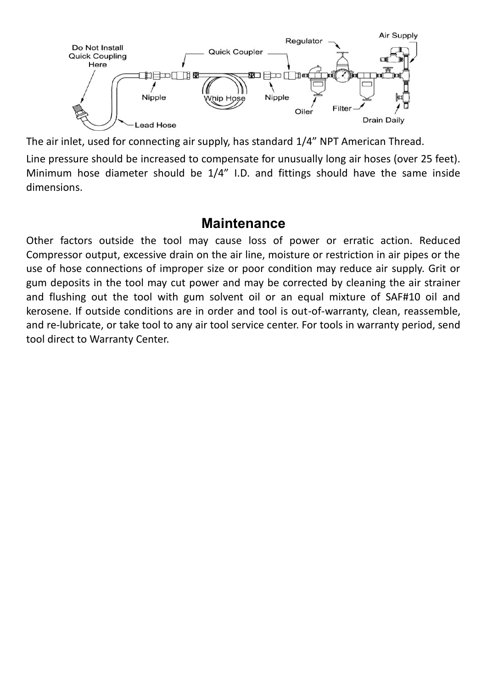

The air inlet, used for connecting air supply, has standard 1/4" NPT American Thread.

Line pressure should be increased to compensate for unusually long air hoses (over 25 feet). Minimum hose diameter should be 1/4" I.D. and fittings should have the same inside dimensions.

#### **Maintenance**

Other factors outside the tool may cause loss of power or erratic action. Reduced Compressor output, excessive drain on the air line, moisture or restriction in air pipes or the use of hose connections of improper size or poor condition may reduce air supply. Grit or gum deposits in the tool may cut power and may be corrected by cleaning the air strainer and flushing out the tool with gum solvent oil or an equal mixture of SAF#10 oil and kerosene. If outside conditions are in order and tool is out-of-warranty, clean, reassemble, and re-lubricate, or take tool to any air tool service center. For tools in warranty period, send tool direct to Warranty Center.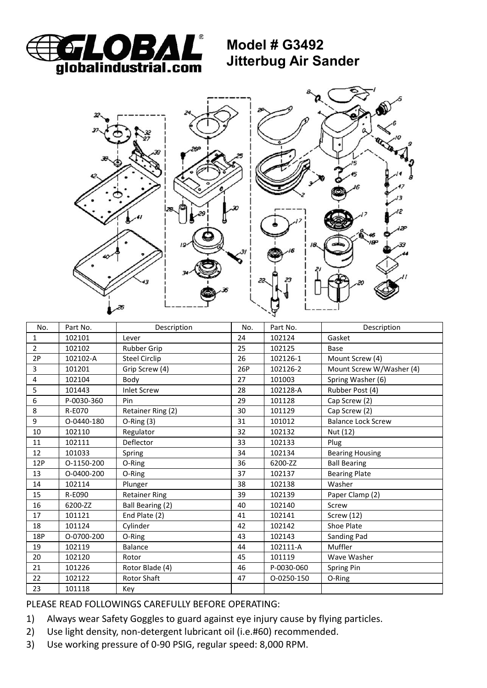

**Model # G3492 Jitterbug Air Sander**



| No.            | Part No.   | Description          | No. | Part No.   | Description               |
|----------------|------------|----------------------|-----|------------|---------------------------|
| $\mathbf{1}$   | 102101     | Lever                | 24  | 102124     | Gasket                    |
| $\overline{2}$ | 102102     | <b>Rubber Grip</b>   | 25  | 102125     | Base                      |
| 2P             | 102102-A   | Steel Circlip        | 26  | 102126-1   | Mount Screw (4)           |
| 3              | 101201     | Grip Screw (4)       | 26P | 102126-2   | Mount Screw W/Washer (4)  |
| $\overline{4}$ | 102104     | Body                 | 27  | 101003     | Spring Washer (6)         |
| 5              | 101443     | <b>Inlet Screw</b>   | 28  | 102128-A   | Rubber Post (4)           |
| 6              | P-0030-360 | Pin                  | 29  | 101128     | Cap Screw (2)             |
| 8              | R-E070     | Retainer Ring (2)    | 30  | 101129     | Cap Screw (2)             |
| 9              | O-0440-180 | $O-Ring(3)$          | 31  | 101012     | <b>Balance Lock Screw</b> |
| 10             | 102110     | Regulator            | 32  | 102132     | Nut (12)                  |
| 11             | 102111     | Deflector            | 33  | 102133     | Plug                      |
| 12             | 101033     | Spring               | 34  | 102134     | <b>Bearing Housing</b>    |
| 12P            | O-1150-200 | O-Ring               | 36  | 6200-ZZ    | <b>Ball Bearing</b>       |
| 13             | O-0400-200 | O-Ring               | 37  | 102137     | <b>Bearing Plate</b>      |
| 14             | 102114     | Plunger              | 38  | 102138     | Washer                    |
| 15             | R-E090     | <b>Retainer Ring</b> | 39  | 102139     | Paper Clamp (2)           |
| 16             | 6200-ZZ    | Ball Bearing (2)     | 40  | 102140     | Screw                     |
| 17             | 101121     | End Plate (2)        | 41  | 102141     | Screw (12)                |
| 18             | 101124     | Cylinder             | 42  | 102142     | Shoe Plate                |
| 18P            | O-0700-200 | O-Ring               | 43  | 102143     | Sanding Pad               |
| 19             | 102119     | Balance              | 44  | 102111-A   | Muffler                   |
| 20             | 102120     | Rotor                | 45  | 101119     | Wave Washer               |
| 21             | 101226     | Rotor Blade (4)      | 46  | P-0030-060 | Spring Pin                |
| 22             | 102122     | <b>Rotor Shaft</b>   | 47  | O-0250-150 | O-Ring                    |
| 23             | 101118     | Key                  |     |            |                           |

PLEASE READ FOLLOWINGS CAREFULLY BEFORE OPERATING:

- 1) Always wear Safety Goggles to guard against eye injury cause by flying particles.
- 2) Use light density, non-detergent lubricant oil (i.e.#60) recommended.
- 3) Use working pressure of 0-90 PSIG, regular speed: 8,000 RPM.